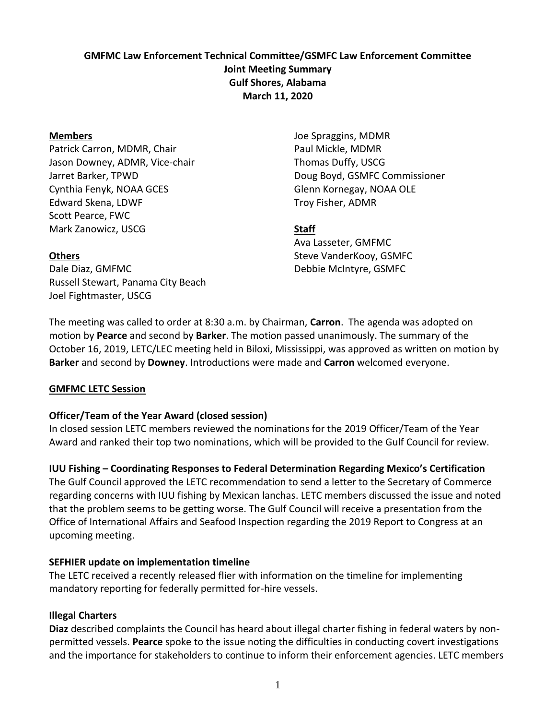# **GMFMC Law Enforcement Technical Committee/GSMFC Law Enforcement Committee Joint Meeting Summary Gulf Shores, Alabama March 11, 2020**

### **Members**

Patrick Carron, MDMR, Chair Jason Downey, ADMR, Vice-chair Jarret Barker, TPWD Cynthia Fenyk, NOAA GCES Edward Skena, LDWF Scott Pearce, FWC Mark Zanowicz, USCG

Joe Spraggins, MDMR Paul Mickle, MDMR Thomas Duffy, USCG Doug Boyd, GSMFC Commissioner Glenn Kornegay, NOAA OLE Troy Fisher, ADMR

# **Staff**

Ava Lasseter, GMFMC Steve VanderKooy, GSMFC Debbie McIntyre, GSMFC

# **Others**

Dale Diaz, GMFMC Russell Stewart, Panama City Beach Joel Fightmaster, USCG

The meeting was called to order at 8:30 a.m. by Chairman, **Carron**. The agenda was adopted on motion by **Pearce** and second by **Barker**. The motion passed unanimously. The summary of the October 16, 2019, LETC/LEC meeting held in Biloxi, Mississippi, was approved as written on motion by **Barker** and second by **Downey**. Introductions were made and **Carron** welcomed everyone.

# **GMFMC LETC Session**

# **Officer/Team of the Year Award (closed session)**

In closed session LETC members reviewed the nominations for the 2019 Officer/Team of the Year Award and ranked their top two nominations, which will be provided to the Gulf Council for review.

**IUU Fishing – Coordinating Responses to Federal Determination Regarding Mexico's Certification** The Gulf Council approved the LETC recommendation to send a letter to the Secretary of Commerce regarding concerns with IUU fishing by Mexican lanchas. LETC members discussed the issue and noted that the problem seems to be getting worse. The Gulf Council will receive a presentation from the Office of International Affairs and Seafood Inspection regarding the 2019 Report to Congress at an upcoming meeting.

# **SEFHIER update on implementation timeline**

The LETC received a recently released flier with information on the timeline for implementing mandatory reporting for federally permitted for-hire vessels.

# **Illegal Charters**

**Diaz** described complaints the Council has heard about illegal charter fishing in federal waters by nonpermitted vessels. **Pearce** spoke to the issue noting the difficulties in conducting covert investigations and the importance for stakeholders to continue to inform their enforcement agencies. LETC members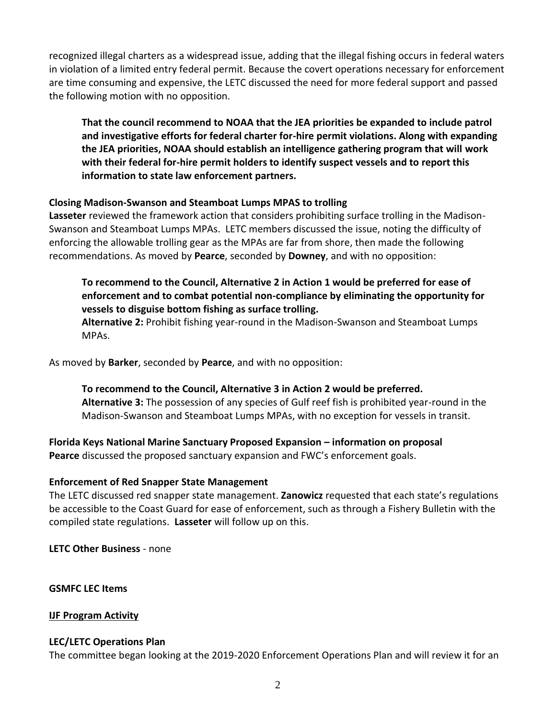recognized illegal charters as a widespread issue, adding that the illegal fishing occurs in federal waters in violation of a limited entry federal permit. Because the covert operations necessary for enforcement are time consuming and expensive, the LETC discussed the need for more federal support and passed the following motion with no opposition.

**That the council recommend to NOAA that the JEA priorities be expanded to include patrol and investigative efforts for federal charter for-hire permit violations. Along with expanding the JEA priorities, NOAA should establish an intelligence gathering program that will work with their federal for-hire permit holders to identify suspect vessels and to report this information to state law enforcement partners.** 

### **Closing Madison-Swanson and Steamboat Lumps MPAS to trolling**

**Lasseter** reviewed the framework action that considers prohibiting surface trolling in the Madison-Swanson and Steamboat Lumps MPAs. LETC members discussed the issue, noting the difficulty of enforcing the allowable trolling gear as the MPAs are far from shore, then made the following recommendations. As moved by **Pearce**, seconded by **Downey**, and with no opposition:

# **To recommend to the Council, Alternative 2 in Action 1 would be preferred for ease of enforcement and to combat potential non-compliance by eliminating the opportunity for vessels to disguise bottom fishing as surface trolling.**

**Alternative 2:** Prohibit fishing year-round in the Madison-Swanson and Steamboat Lumps MPAs.

As moved by **Barker**, seconded by **Pearce**, and with no opposition:

**To recommend to the Council, Alternative 3 in Action 2 would be preferred. Alternative 3:** The possession of any species of Gulf reef fish is prohibited year-round in the Madison-Swanson and Steamboat Lumps MPAs, with no exception for vessels in transit.

**Florida Keys National Marine Sanctuary Proposed Expansion – information on proposal Pearce** discussed the proposed sanctuary expansion and FWC's enforcement goals.

# **Enforcement of Red Snapper State Management**

The LETC discussed red snapper state management. **Zanowicz** requested that each state's regulations be accessible to the Coast Guard for ease of enforcement, such as through a Fishery Bulletin with the compiled state regulations. **Lasseter** will follow up on this.

**LETC Other Business** - none

**GSMFC LEC Items**

**IJF Program Activity**

### **LEC/LETC Operations Plan**

The committee began looking at the 2019-2020 Enforcement Operations Plan and will review it for an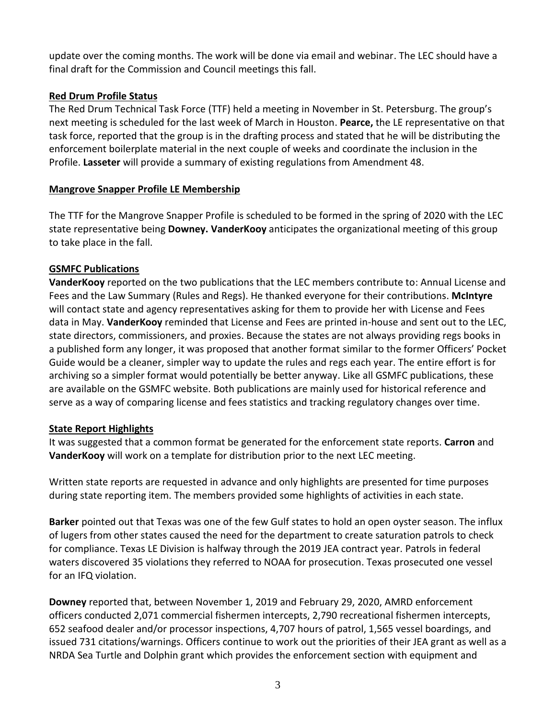update over the coming months. The work will be done via email and webinar. The LEC should have a final draft for the Commission and Council meetings this fall.

# **Red Drum Profile Status**

The Red Drum Technical Task Force (TTF) held a meeting in November in St. Petersburg. The group's next meeting is scheduled for the last week of March in Houston. **Pearce,** the LE representative on that task force, reported that the group is in the drafting process and stated that he will be distributing the enforcement boilerplate material in the next couple of weeks and coordinate the inclusion in the Profile. **Lasseter** will provide a summary of existing regulations from Amendment 48.

# **Mangrove Snapper Profile LE Membership**

The TTF for the Mangrove Snapper Profile is scheduled to be formed in the spring of 2020 with the LEC state representative being **Downey. VanderKooy** anticipates the organizational meeting of this group to take place in the fall.

# **GSMFC Publications**

**VanderKooy** reported on the two publications that the LEC members contribute to: Annual License and Fees and the Law Summary (Rules and Regs). He thanked everyone for their contributions. **McIntyre** will contact state and agency representatives asking for them to provide her with License and Fees data in May. **VanderKooy** reminded that License and Fees are printed in-house and sent out to the LEC, state directors, commissioners, and proxies. Because the states are not always providing regs books in a published form any longer, it was proposed that another format similar to the former Officers' Pocket Guide would be a cleaner, simpler way to update the rules and regs each year. The entire effort is for archiving so a simpler format would potentially be better anyway. Like all GSMFC publications, these are available on the GSMFC website. Both publications are mainly used for historical reference and serve as a way of comparing license and fees statistics and tracking regulatory changes over time.

# **State Report Highlights**

It was suggested that a common format be generated for the enforcement state reports. **Carron** and **VanderKooy** will work on a template for distribution prior to the next LEC meeting.

Written state reports are requested in advance and only highlights are presented for time purposes during state reporting item. The members provided some highlights of activities in each state.

**Barker** pointed out that Texas was one of the few Gulf states to hold an open oyster season. The influx of lugers from other states caused the need for the department to create saturation patrols to check for compliance. Texas LE Division is halfway through the 2019 JEA contract year. Patrols in federal waters discovered 35 violations they referred to NOAA for prosecution. Texas prosecuted one vessel for an IFQ violation.

**Downey** reported that, between November 1, 2019 and February 29, 2020, AMRD enforcement officers conducted 2,071 commercial fishermen intercepts, 2,790 recreational fishermen intercepts, 652 seafood dealer and/or processor inspections, 4,707 hours of patrol, 1,565 vessel boardings, and issued 731 citations/warnings. Officers continue to work out the priorities of their JEA grant as well as a NRDA Sea Turtle and Dolphin grant which provides the enforcement section with equipment and